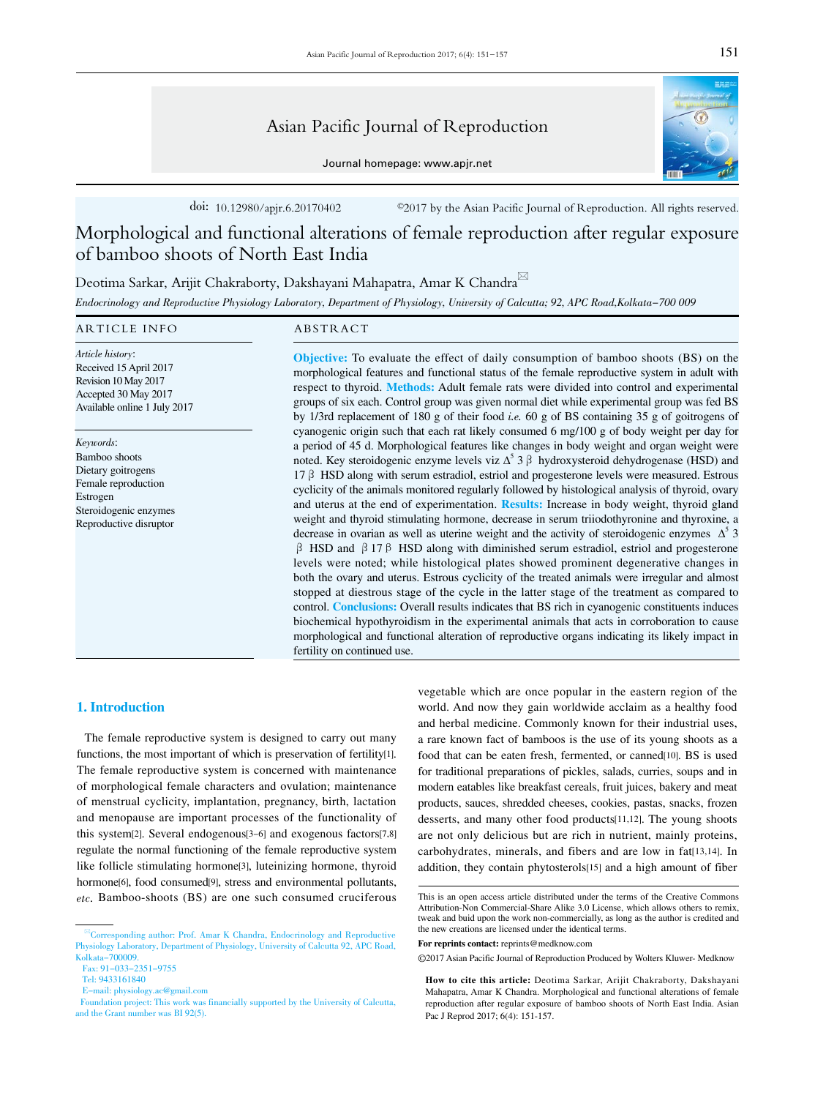# Asian Pacific Journal of Reproduction

Journal homepage: www.apjr.net



doi: 10.12980/apjr.6.20170402 ©2017 by the Asian Pacific Journal of Reproduction. All rights reserved.

Morphological and functional alterations of female reproduction after regular exposure of bamboo shoots of North East India

Deotima Sarkar, Arijit Chakraborty, Dakshayani Mahapatra, Amar K Chandra

Endocrinology and Reproductive Physiology Laboratory, Department of Physiology, University of Calcutta; 92, APC Road,Kolkata-700 009

#### ARTICLE INFO ABSTRACT

Article history: Received 15 April 2017 Revision 10 May 2017 Accepted 30 May 2017 Available online 1 July 2017

Keywords: Bamboo shoots Dietary goitrogens Female reproduction Estrogen Steroidogenic enzymes Reproductive disruptor

Objective: To evaluate the effect of daily consumption of bamboo shoots (BS) on the morphological features and functional status of the female reproductive system in adult with respect to thyroid. Methods: Adult female rats were divided into control and experimental groups of six each. Control group was given normal diet while experimental group was fed BS by 1/3rd replacement of 180 g of their food i.e. 60 g of BS containing 35 g of goitrogens of cyanogenic origin such that each rat likely consumed 6 mg/100 g of body weight per day for a period of 45 d. Morphological features like changes in body weight and organ weight were noted. Key steroidogenic enzyme levels viz  $\Delta^5$  3  $\beta$  hydroxysteroid dehydrogenase (HSD) and  $17 \beta$  HSD along with serum estradiol, estriol and progesterone levels were measured. Estrous cyclicity of the animals monitored regularly followed by histological analysis of thyroid, ovary and uterus at the end of experimentation. Results: Increase in body weight, thyroid gland weight and thyroid stimulating hormone, decrease in serum triiodothyronine and thyroxine, a decrease in ovarian as well as uterine weight and the activity of steroidogenic enzymes  $\Delta^5$  3 β HSD and β 17β HSD along with diminished serum estradiol, estriol and progesterone levels were noted; while histological plates showed prominent degenerative changes in both the ovary and uterus. Estrous cyclicity of the treated animals were irregular and almost stopped at diestrous stage of the cycle in the latter stage of the treatment as compared to control. Conclusions: Overall results indicates that BS rich in cyanogenic constituents induces biochemical hypothyroidism in the experimental animals that acts in corroboration to cause morphological and functional alteration of reproductive organs indicating its likely impact in fertility on continued use.

## 1. Introduction

 The female reproductive system is designed to carry out many functions, the most important of which is preservation of fertility[1]. The female reproductive system is concerned with maintenance of morphological female characters and ovulation; maintenance of menstrual cyclicity, implantation, pregnancy, birth, lactation and menopause are important processes of the functionality of this system[2]. Several endogenous[3-6] and exogenous factors[7,8] regulate the normal functioning of the female reproductive system like follicle stimulating hormone[3], luteinizing hormone, thyroid hormone[6], food consumed[9], stress and environmental pollutants, etc. Bamboo-shoots (BS) are one such consumed cruciferous

vegetable which are once popular in the eastern region of the world. And now they gain worldwide acclaim as a healthy food and herbal medicine. Commonly known for their industrial uses, a rare known fact of bamboos is the use of its young shoots as a food that can be eaten fresh, fermented, or canned[10]. BS is used for traditional preparations of pickles, salads, curries, soups and in modern eatables like breakfast cereals, fruit juices, bakery and meat products, sauces, shredded cheeses, cookies, pastas, snacks, frozen desserts, and many other food products[11,12]. The young shoots are not only delicious but are rich in nutrient, mainly proteins, carbohydrates, minerals, and fibers and are low in fat[13,14]. In addition, they contain phytosterols[15] and a high amount of fiber

Corresponding author: Prof. Amar K Chandra, Endocrinology and Reproductive Physiology Laboratory, Department of Physiology, University of Calcutta 92, APC Road, Kolkata-700009.

Fax: 91-033-2351-9755

Tel: 9433161840

E-mail: physiology.ac@gmail.com

Foundation project: This work was financially supported by the University of Calcutta, and the Grant number was BI 92(5).

This is an open access article distributed under the terms of the Creative Commons Attribution-Non Commercial-Share Alike 3.0 License, which allows others to remix, tweak and buid upon the work non-commercially, as long as the author is credited and the new creations are licensed under the identical terms.

**For reprints contact:** reprints@medknow.com

<sup>©2017</sup> Asian Pacific Journal of Reproduction Produced by Wolters Kluwer- Medknow

**How to cite this article:** Deotima Sarkar, Arijit Chakraborty, Dakshayani Mahapatra, Amar K Chandra. Morphological and functional alterations of female reproduction after regular exposure of bamboo shoots of North East India. Asian Pac J Reprod 2017; 6(4): 151-157.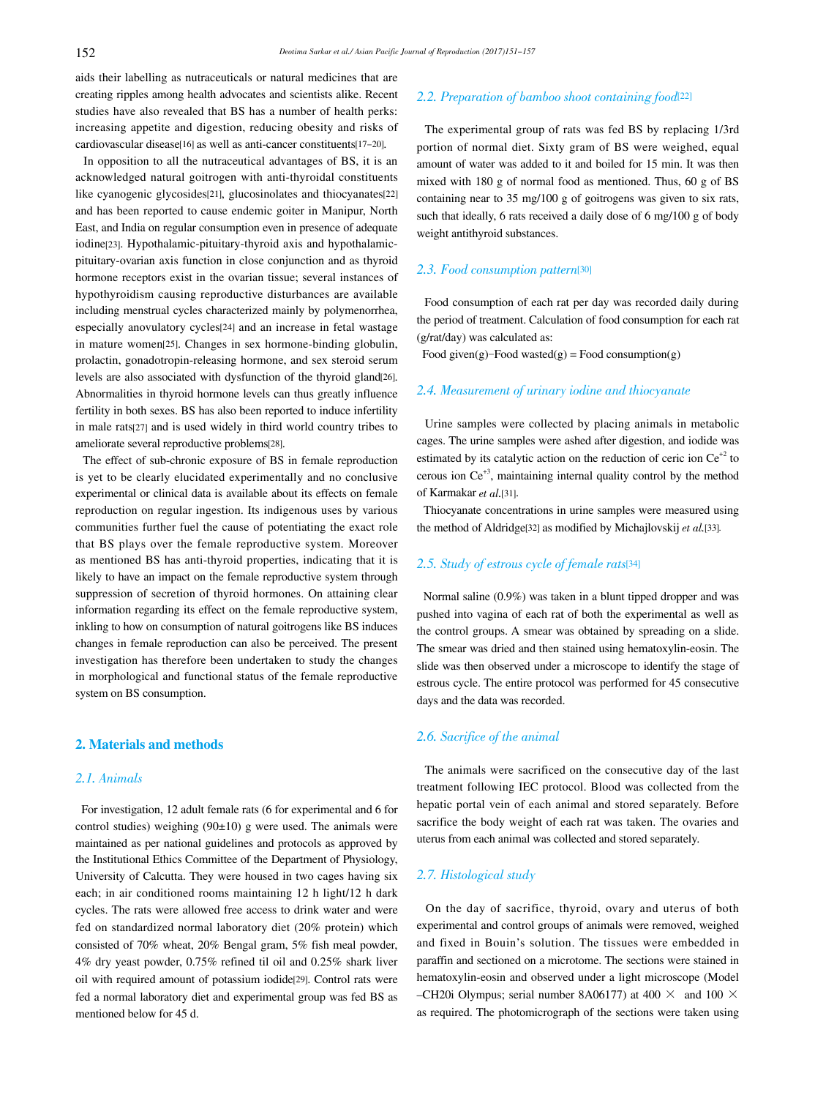aids their labelling as nutraceuticals or natural medicines that are creating ripples among health advocates and scientists alike. Recent studies have also revealed that BS has a number of health perks: increasing appetite and digestion, reducing obesity and risks of cardiovascular disease[16] as well as anti-cancer constituents[17-20].

 In opposition to all the nutraceutical advantages of BS, it is an acknowledged natural goitrogen with anti-thyroidal constituents like cyanogenic glycosides[21], glucosinolates and thiocyanates[22] and has been reported to cause endemic goiter in Manipur, North East, and India on regular consumption even in presence of adequate iodine[23]. Hypothalamic-pituitary-thyroid axis and hypothalamicpituitary-ovarian axis function in close conjunction and as thyroid hormone receptors exist in the ovarian tissue; several instances of hypothyroidism causing reproductive disturbances are available including menstrual cycles characterized mainly by polymenorrhea, especially anovulatory cycles[24] and an increase in fetal wastage in mature women[25]. Changes in sex hormone-binding globulin, prolactin, gonadotropin-releasing hormone, and sex steroid serum levels are also associated with dysfunction of the thyroid gland[26]. Abnormalities in thyroid hormone levels can thus greatly influence fertility in both sexes. BS has also been reported to induce infertility in male rats[27] and is used widely in third world country tribes to ameliorate several reproductive problems[28].

 The effect of sub-chronic exposure of BS in female reproduction is yet to be clearly elucidated experimentally and no conclusive experimental or clinical data is available about its effects on female reproduction on regular ingestion. Its indigenous uses by various communities further fuel the cause of potentiating the exact role that BS plays over the female reproductive system. Moreover as mentioned BS has anti-thyroid properties, indicating that it is likely to have an impact on the female reproductive system through suppression of secretion of thyroid hormones. On attaining clear information regarding its effect on the female reproductive system, inkling to how on consumption of natural goitrogens like BS induces changes in female reproduction can also be perceived. The present investigation has therefore been undertaken to study the changes in morphological and functional status of the female reproductive system on BS consumption.

## 2. Materials and methods

## 2.1. Animals

 For investigation, 12 adult female rats (6 for experimental and 6 for control studies) weighing  $(90±10)$  g were used. The animals were maintained as per national guidelines and protocols as approved by the Institutional Ethics Committee of the Department of Physiology, University of Calcutta. They were housed in two cages having six each; in air conditioned rooms maintaining 12 h light/12 h dark cycles. The rats were allowed free access to drink water and were fed on standardized normal laboratory diet (20% protein) which consisted of 70% wheat, 20% Bengal gram, 5% fish meal powder, 4% dry yeast powder, 0.75% refined til oil and 0.25% shark liver oil with required amount of potassium iodide[29]. Control rats were fed a normal laboratory diet and experimental group was fed BS as mentioned below for 45 d.

## 2.2. Preparation of bamboo shoot containing food[22]

 The experimental group of rats was fed BS by replacing 1/3rd portion of normal diet. Sixty gram of BS were weighed, equal amount of water was added to it and boiled for 15 min. It was then mixed with 180 g of normal food as mentioned. Thus, 60 g of BS containing near to 35 mg/100 g of goitrogens was given to six rats, such that ideally, 6 rats received a daily dose of 6 mg/100 g of body weight antithyroid substances.

## 2.3. Food consumption pattern[30]

 Food consumption of each rat per day was recorded daily during the period of treatment. Calculation of food consumption for each rat (g/rat/day) was calculated as:

Food given(g)-Food wasted(g) = Food consumption(g)

#### 2.4. Measurement of urinary iodine and thiocyanate

 Urine samples were collected by placing animals in metabolic cages. The urine samples were ashed after digestion, and iodide was estimated by its catalytic action on the reduction of ceric ion  $Ce^{+2}$  to cerous ion Ce<sup>+3</sup>, maintaining internal quality control by the method of Karmakar et al.[31].

 Thiocyanate concentrations in urine samples were measured using the method of Aldridge<sup>[32]</sup> as modified by Michajlovskij et al.<sup>[33]</sup>.

## 2.5. Study of estrous cycle of female rats[34]

 Normal saline (0.9%) was taken in a blunt tipped dropper and was pushed into vagina of each rat of both the experimental as well as the control groups. A smear was obtained by spreading on a slide. The smear was dried and then stained using hematoxylin-eosin. The slide was then observed under a microscope to identify the stage of estrous cycle. The entire protocol was performed for 45 consecutive days and the data was recorded.

# 2.6. Sacrifice of the animal

 The animals were sacrificed on the consecutive day of the last treatment following IEC protocol. Blood was collected from the hepatic portal vein of each animal and stored separately. Before sacrifice the body weight of each rat was taken. The ovaries and uterus from each animal was collected and stored separately.

## 2.7. Histological study

 On the day of sacrifice, thyroid, ovary and uterus of both experimental and control groups of animals were removed, weighed and fixed in Bouin's solution. The tissues were embedded in paraffin and sectioned on a microtome. The sections were stained in hematoxylin-eosin and observed under a light microscope (Model –CH20i Olympus; serial number 8A06177) at 400  $\times$  and 100  $\times$ as required. The photomicrograph of the sections were taken using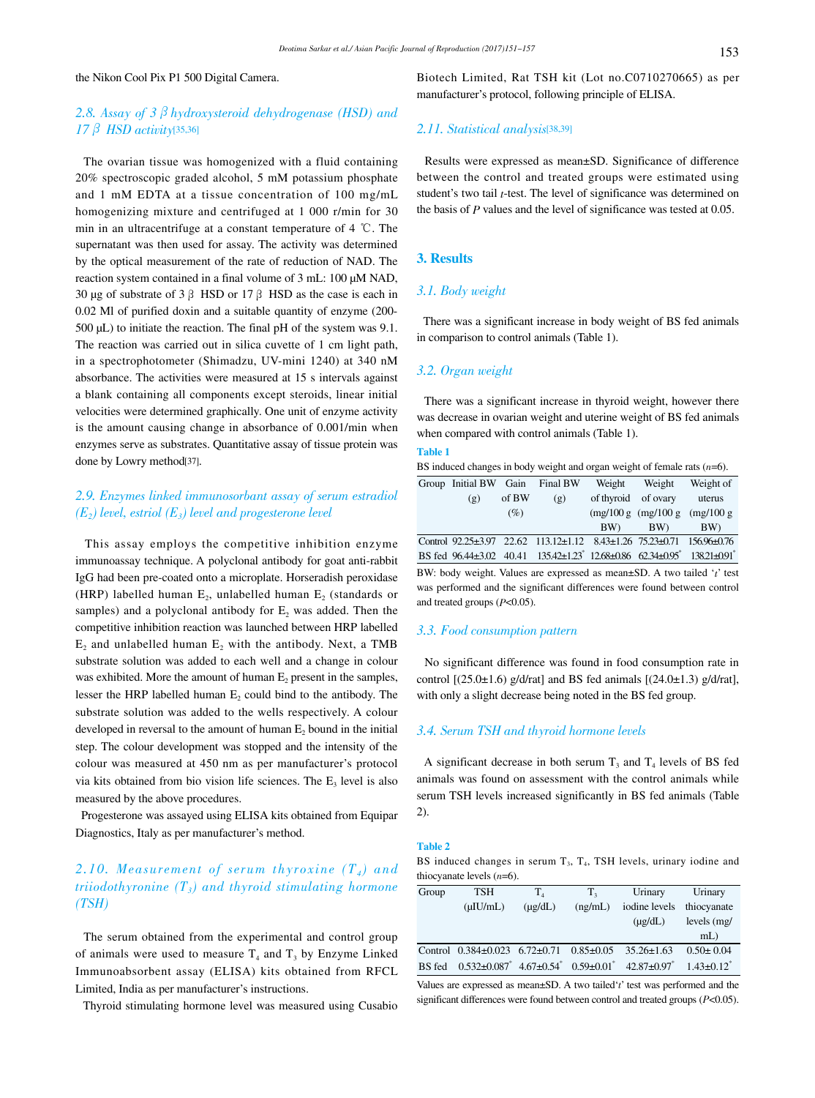#### the Nikon Cool Pix P1 500 Digital Camera.

## 2.8. Assay of 3  $\beta$  hydroxysteroid dehydrogenase (HSD) and  $17 \beta$  HSD activity[35,36]

 The ovarian tissue was homogenized with a fluid containing 20% spectroscopic graded alcohol, 5 mM potassium phosphate and 1 mM EDTA at a tissue concentration of 100 mg/mL homogenizing mixture and centrifuged at 1 000 r/min for 30 min in an ultracentrifuge at a constant temperature of 4 ℃. The supernatant was then used for assay. The activity was determined by the optical measurement of the rate of reduction of NAD. The reaction system contained in a final volume of 3 mL: 100 µM NAD, 30 µg of substrate of 3  $\beta$  HSD or 17  $\beta$  HSD as the case is each in 0.02 Ml of purified doxin and a suitable quantity of enzyme (200- 500 µL) to initiate the reaction. The final pH of the system was 9.1. The reaction was carried out in silica cuvette of 1 cm light path, in a spectrophotometer (Shimadzu, UV-mini 1240) at 340 nM absorbance. The activities were measured at 15 s intervals against a blank containing all components except steroids, linear initial velocities were determined graphically. One unit of enzyme activity is the amount causing change in absorbance of 0.001/min when enzymes serve as substrates. Quantitative assay of tissue protein was done by Lowry method[37].

# 2.9. Enzymes linked immunosorbant assay of serum estradiol  $(E_2)$  level, estriol  $(E_3)$  level and progesterone level

 This assay employs the competitive inhibition enzyme immunoassay technique. A polyclonal antibody for goat anti-rabbit IgG had been pre-coated onto a microplate. Horseradish peroxidase (HRP) labelled human  $E_2$ , unlabelled human  $E_2$  (standards or samples) and a polyclonal antibody for  $E<sub>2</sub>$  was added. Then the competitive inhibition reaction was launched between HRP labelled  $E_2$  and unlabelled human  $E_2$  with the antibody. Next, a TMB substrate solution was added to each well and a change in colour was exhibited. More the amount of human  $E_2$  present in the samples, lesser the HRP labelled human  $E_2$  could bind to the antibody. The substrate solution was added to the wells respectively. A colour developed in reversal to the amount of human  $E_2$  bound in the initial step. The colour development was stopped and the intensity of the colour was measured at 450 nm as per manufacturer's protocol via kits obtained from bio vision life sciences. The  $E_3$  level is also measured by the above procedures.

 Progesterone was assayed using ELISA kits obtained from Equipar Diagnostics, Italy as per manufacturer's method.

# 2.10. Measurement of serum thyroxine  $(T_4)$  and triiodothyronine  $(T_3)$  and thyroid stimulating hormone (TSH)

 The serum obtained from the experimental and control group of animals were used to measure  $T_4$  and  $T_3$  by Enzyme Linked Immunoabsorbent assay (ELISA) kits obtained from RFCL Limited, India as per manufacturer's instructions.

Thyroid stimulating hormone level was measured using Cusabio

Biotech Limited, Rat TSH kit (Lot no.C0710270665) as per manufacturer's protocol, following principle of ELISA.

## 2.11. Statistical analysis[38,39]

 Results were expressed as mean±SD. Significance of difference between the control and treated groups were estimated using student's two tail t-test. The level of significance was determined on the basis of P values and the level of significance was tested at 0.05.

#### 3. Results

#### 3.1. Body weight

 There was a significant increase in body weight of BS fed animals in comparison to control animals (Table 1).

## 3.2. Organ weight

 There was a significant increase in thyroid weight, however there was decrease in ovarian weight and uterine weight of BS fed animals when compared with control animals (Table 1).

#### Table 1

BS induced changes in body weight and organ weight of female rats  $(n=6)$ .

| Group Initial BW Gain Final BW |       |                                                                                                              | Weight              | Weight                        | Weight of |
|--------------------------------|-------|--------------------------------------------------------------------------------------------------------------|---------------------|-------------------------------|-----------|
| (g)                            | of BW | (g)                                                                                                          | of thyroid of ovary |                               | uterus    |
|                                | (%)   |                                                                                                              |                     | (mg/100 g (mg/100 g (mg/100 g |           |
|                                |       |                                                                                                              | BW)                 | BW)                           | BW)       |
|                                |       | Control 92.25±3.97 22.62 113.12±1.12 8.43±1.26 75.23±0.71 156.96±0.76                                        |                     |                               |           |
|                                |       | BS fed 96.44±3.02 40.41 135.42±1.23 <sup>*</sup> 12.68±0.86 62.34±0.95 <sup>*</sup> 138.21±0.91 <sup>*</sup> |                     |                               |           |

BW: body weight. Values are expressed as mean±SD. A two tailed 't' test was performed and the significant differences were found between control and treated groups  $(P<0.05)$ .

#### 3.3. Food consumption pattern

 No significant difference was found in food consumption rate in control  $[(25.0 \pm 1.6)$  g/d/rat] and BS fed animals  $[(24.0 \pm 1.3)$  g/d/rat], with only a slight decrease being noted in the BS fed group.

## 3.4. Serum TSH and thyroid hormone levels

A significant decrease in both serum  $T_3$  and  $T_4$  levels of BS fed animals was found on assessment with the control animals while serum TSH levels increased significantly in BS fed animals (Table 2).

#### Table 2

BS induced changes in serum  $T_3$ ,  $T_4$ , TSH levels, urinary iodine and thiocyanate levels  $(n=6)$ .

| Group  | TSH                                                                   | $T_{4}$      | T.              | Urinary          | Urinary                      |
|--------|-----------------------------------------------------------------------|--------------|-----------------|------------------|------------------------------|
|        | $(\mu I U/mL)$                                                        | $(\mu$ g/dL) | (ng/mL)         | iodine levels    | thiocyanate                  |
|        |                                                                       |              |                 | $(\mu$ g/dL)     | levels (mg/                  |
|        |                                                                       |              |                 |                  | $mL$ )                       |
|        | Control $0.384\pm0.023$ 6.72 $\pm0.71$                                |              | $0.85 \pm 0.05$ | $35.26 \pm 1.63$ | $0.50 \pm 0.04$              |
| BS fed | $0.532\pm0.087^*$ 4.67 $\pm0.54^*$ 0.59 $\pm0.01^*$ 42.87 $\pm0.97^*$ |              |                 |                  | $1.43 \pm 0.12$ <sup>*</sup> |

Values are expressed as mean $\pm$ SD. A two tailed't' test was performed and the significant differences were found between control and treated groups  $(P<0.05)$ .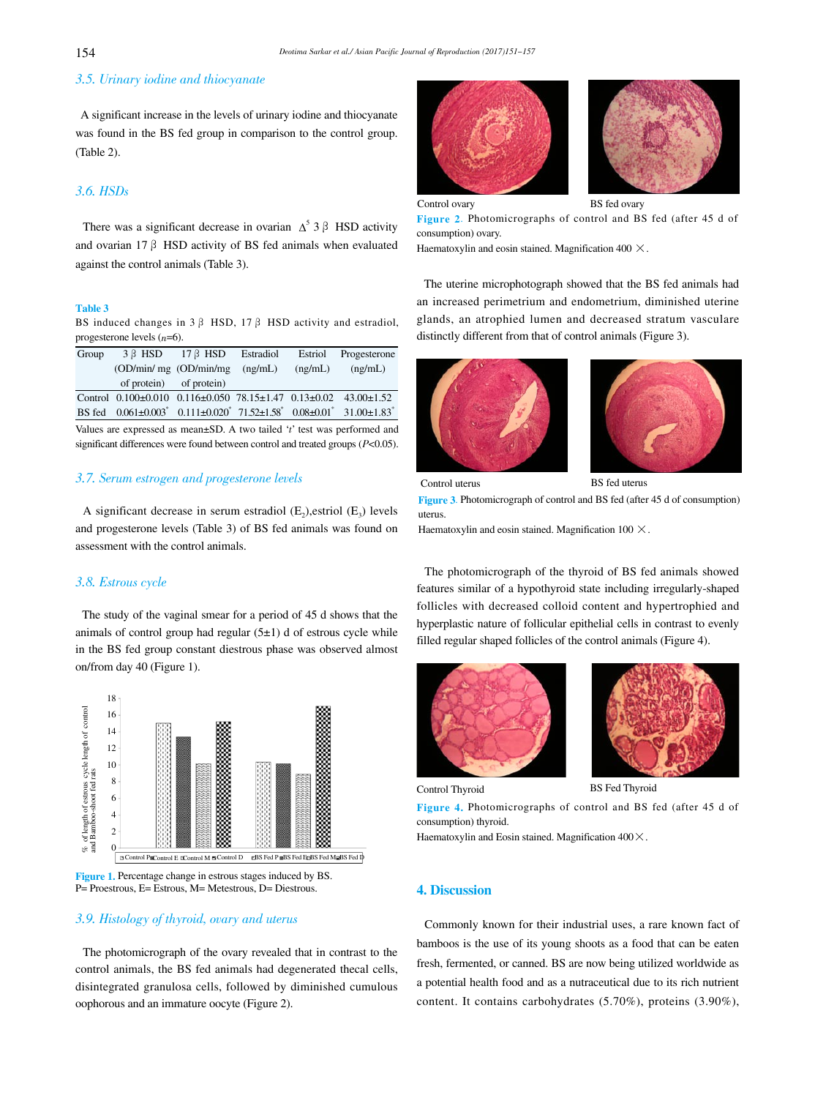# 3.5. Urinary iodine and thiocyanate

 A significant increase in the levels of urinary iodine and thiocyanate was found in the BS fed group in comparison to the control group. (Table 2).

## 3.6. HSDs

There was a significant decrease in ovarian  $\Delta^5$  3  $\beta$  HSD activity and ovarian 17  $\beta$  HSD activity of BS fed animals when evaluated against the control animals (Table 3).

#### Table 3

BS induced changes in  $3 \beta$  HSD,  $17 \beta$  HSD activity and estradiol, progesterone levels  $(n=6)$ .

| Group                                                                          |                                                                                                                                                               | $3 \beta$ HSD $17 \beta$ HSD Estradiol Estriol Progesterone |  |         |         |  |
|--------------------------------------------------------------------------------|---------------------------------------------------------------------------------------------------------------------------------------------------------------|-------------------------------------------------------------|--|---------|---------|--|
|                                                                                | $OD/min/mg$ $OD/min/mg$ $(ng/mL)$                                                                                                                             |                                                             |  | (ng/mL) | (ng/mL) |  |
|                                                                                | of protein) of protein)                                                                                                                                       |                                                             |  |         |         |  |
|                                                                                | Control 0.100±0.010 0.116±0.050 78.15±1.47 0.13±0.02 43.00±1.52                                                                                               |                                                             |  |         |         |  |
|                                                                                | BS fed $0.061 \pm 0.003$ <sup>*</sup> $0.111 \pm 0.020$ <sup>*</sup> $71.52 \pm 1.58$ <sup>*</sup> $0.08 \pm 0.01$ <sup>*</sup> $31.00 \pm 1.83$ <sup>*</sup> |                                                             |  |         |         |  |
| Values are expressed as mean $\pm$ SD. A two tailed 't' test was performed and |                                                                                                                                                               |                                                             |  |         |         |  |

significant differences were found between control and treated groups  $(P<0.05)$ .

# 3.7. Serum estrogen and progesterone levels

A significant decrease in serum estradiol  $(E_2)$ , estriol  $(E_3)$  levels and progesterone levels (Table 3) of BS fed animals was found on assessment with the control animals.

#### 3.8. Estrous cycle

 The study of the vaginal smear for a period of 45 d shows that the animals of control group had regular  $(5±1)$  d of estrous cycle while in the BS fed group constant diestrous phase was observed almost on/from day 40 (Figure 1).





## 3.9. Histology of thyroid, ovary and uterus

 The photomicrograph of the ovary revealed that in contrast to the control animals, the BS fed animals had degenerated thecal cells, disintegrated granulosa cells, followed by diminished cumulous oophorous and an immature oocyte (Figure 2).



Figure 2. Photomicrographs of control and BS fed (after 45 d of consumption) ovary.

Haematoxylin and eosin stained. Magnification 400  $\times$ .

 The uterine microphotograph showed that the BS fed animals had an increased perimetrium and endometrium, diminished uterine glands, an atrophied lumen and decreased stratum vasculare distinctly different from that of control animals (Figure 3).





 Control uterus BS fed uterus Figure 3. Photomicrograph of control and BS fed (after 45 d of consumption) uterus.

Haematoxylin and eosin stained. Magnification  $100 \times$ .

 The photomicrograph of the thyroid of BS fed animals showed features similar of a hypothyroid state including irregularly-shaped follicles with decreased colloid content and hypertrophied and hyperplastic nature of follicular epithelial cells in contrast to evenly filled regular shaped follicles of the control animals (Figure 4).





Control Thyroid BS Fed Thyroid

Figure 4. Photomicrographs of control and BS fed (after 45 d of consumption) thyroid.

Haematoxylin and Eosin stained. Magnification  $400 \times$ .

## 4. Discussion

 Commonly known for their industrial uses, a rare known fact of bamboos is the use of its young shoots as a food that can be eaten fresh, fermented, or canned. BS are now being utilized worldwide as a potential health food and as a nutraceutical due to its rich nutrient content. It contains carbohydrates (5.70%), proteins (3.90%),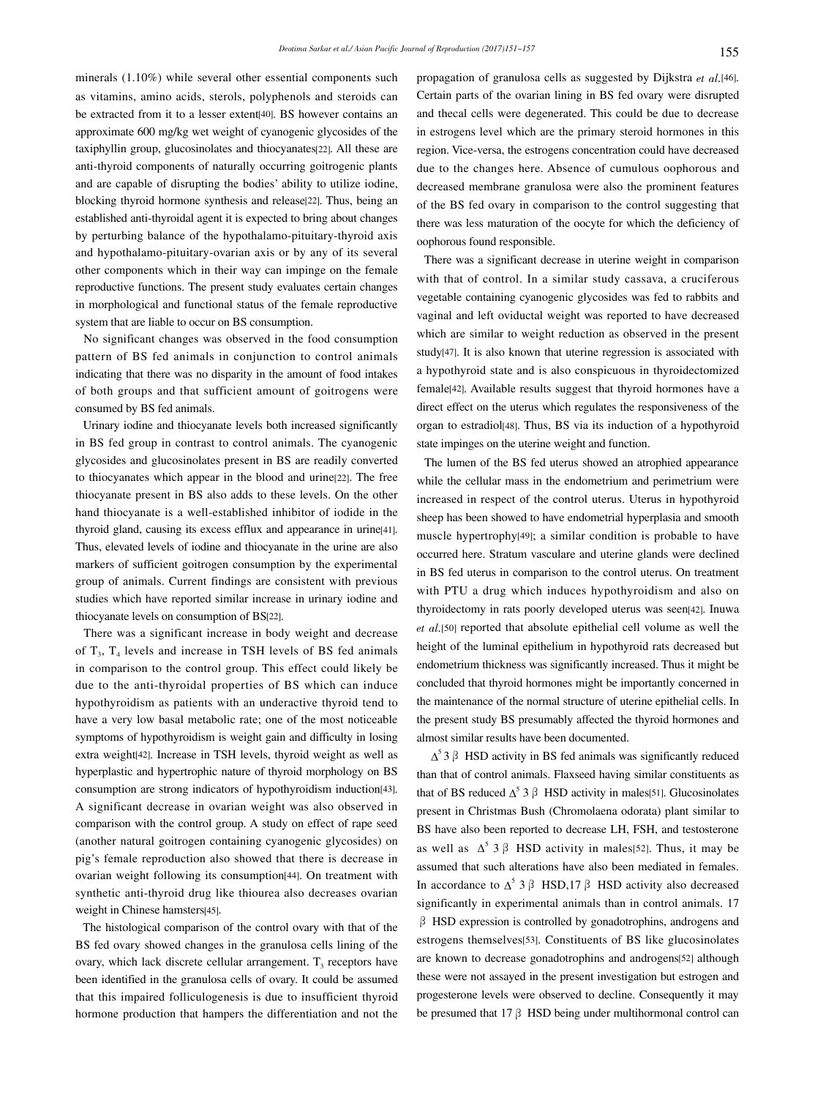minerals (1.10%) while several other essential components such as vitamins, amino acids, sterols, polyphenols and steroids can be extracted from it to a lesser extent[40]. BS however contains an approximate 600 mg/kg wet weight of cyanogenic glycosides of the taxiphyllin group, glucosinolates and thiocyanates[22]. All these are anti-thyroid components of naturally occurring goitrogenic plants and are capable of disrupting the bodies' ability to utilize iodine, blocking thyroid hormone synthesis and release[22]. Thus, being an established anti-thyroidal agent it is expected to bring about changes by perturbing balance of the hypothalamo-pituitary-thyroid axis and hypothalamo-pituitary-ovarian axis or by any of its several other components which in their way can impinge on the female reproductive functions. The present study evaluates certain changes in morphological and functional status of the female reproductive system that are liable to occur on BS consumption.

 No significant changes was observed in the food consumption pattern of BS fed animals in conjunction to control animals indicating that there was no disparity in the amount of food intakes of both groups and that sufficient amount of goitrogens were consumed by BS fed animals.

 Urinary iodine and thiocyanate levels both increased significantly in BS fed group in contrast to control animals. The cyanogenic glycosides and glucosinolates present in BS are readily converted to thiocyanates which appear in the blood and urine[22]. The free thiocyanate present in BS also adds to these levels. On the other hand thiocyanate is a well-established inhibitor of iodide in the thyroid gland, causing its excess efflux and appearance in urine[41]. Thus, elevated levels of iodine and thiocyanate in the urine are also markers of sufficient goitrogen consumption by the experimental group of animals. Current findings are consistent with previous studies which have reported similar increase in urinary iodine and thiocyanate levels on consumption of BS[22].

 There was a significant increase in body weight and decrease of  $T_3$ ,  $T_4$  levels and increase in TSH levels of BS fed animals in comparison to the control group. This effect could likely be due to the anti-thyroidal properties of BS which can induce hypothyroidism as patients with an underactive thyroid tend to have a very low basal metabolic rate; one of the most noticeable symptoms of hypothyroidism is weight gain and difficulty in losing extra weight[42]. Increase in TSH levels, thyroid weight as well as hyperplastic and hypertrophic nature of thyroid morphology on BS consumption are strong indicators of hypothyroidism induction[43]. A significant decrease in ovarian weight was also observed in comparison with the control group. A study on effect of rape seed (another natural goitrogen containing cyanogenic glycosides) on pig's female reproduction also showed that there is decrease in ovarian weight following its consumption[44]. On treatment with synthetic anti-thyroid drug like thiourea also decreases ovarian weight in Chinese hamsters[45].

 The histological comparison of the control ovary with that of the BS fed ovary showed changes in the granulosa cells lining of the ovary, which lack discrete cellular arrangement.  $T<sub>3</sub>$  receptors have been identified in the granulosa cells of ovary. It could be assumed that this impaired folliculogenesis is due to insufficient thyroid hormone production that hampers the differentiation and not the

propagation of granulosa cells as suggested by Dijkstra et al.[46]. Certain parts of the ovarian lining in BS fed ovary were disrupted and thecal cells were degenerated. This could be due to decrease in estrogens level which are the primary steroid hormones in this region. Vice-versa, the estrogens concentration could have decreased due to the changes here. Absence of cumulous oophorous and decreased membrane granulosa were also the prominent features of the BS fed ovary in comparison to the control suggesting that there was less maturation of the oocyte for which the deficiency of oophorous found responsible.

 There was a significant decrease in uterine weight in comparison with that of control. In a similar study cassava, a cruciferous vegetable containing cyanogenic glycosides was fed to rabbits and vaginal and left oviductal weight was reported to have decreased which are similar to weight reduction as observed in the present study[47]. It is also known that uterine regression is associated with a hypothyroid state and is also conspicuous in thyroidectomized female[42]. Available results suggest that thyroid hormones have a direct effect on the uterus which regulates the responsiveness of the organ to estradiol[48]. Thus, BS via its induction of a hypothyroid state impinges on the uterine weight and function.

 The lumen of the BS fed uterus showed an atrophied appearance while the cellular mass in the endometrium and perimetrium were increased in respect of the control uterus. Uterus in hypothyroid sheep has been showed to have endometrial hyperplasia and smooth muscle hypertrophy[49]; a similar condition is probable to have occurred here. Stratum vasculare and uterine glands were declined in BS fed uterus in comparison to the control uterus. On treatment with PTU a drug which induces hypothyroidism and also on thyroidectomy in rats poorly developed uterus was seen[42]. Inuwa et al.[50] reported that absolute epithelial cell volume as well the height of the luminal epithelium in hypothyroid rats decreased but endometrium thickness was significantly increased. Thus it might be concluded that thyroid hormones might be importantly concerned in the maintenance of the normal structure of uterine epithelial cells. In the present study BS presumably affected the thyroid hormones and almost similar results have been documented.

 $\Delta^5$  3  $\beta$  HSD activity in BS fed animals was significantly reduced than that of control animals. Flaxseed having similar constituents as that of BS reduced  $\Delta^5$  3  $\beta$  HSD activity in males[51]. Glucosinolates present in Christmas Bush (Chromolaena odorata) plant similar to BS have also been reported to decrease LH, FSH, and testosterone as well as  $\Delta^5$  3  $\beta$  HSD activity in males[52]. Thus, it may be assumed that such alterations have also been mediated in females. In accordance to  $\Delta^5$  3  $\beta$  HSD,17  $\beta$  HSD activity also decreased significantly in experimental animals than in control animals. 17  $\beta$  HSD expression is controlled by gonadotrophins, androgens and estrogens themselves[53]. Constituents of BS like glucosinolates are known to decrease gonadotrophins and androgens[52] although these were not assayed in the present investigation but estrogen and progesterone levels were observed to decline. Consequently it may be presumed that 17  $\beta$  HSD being under multihormonal control can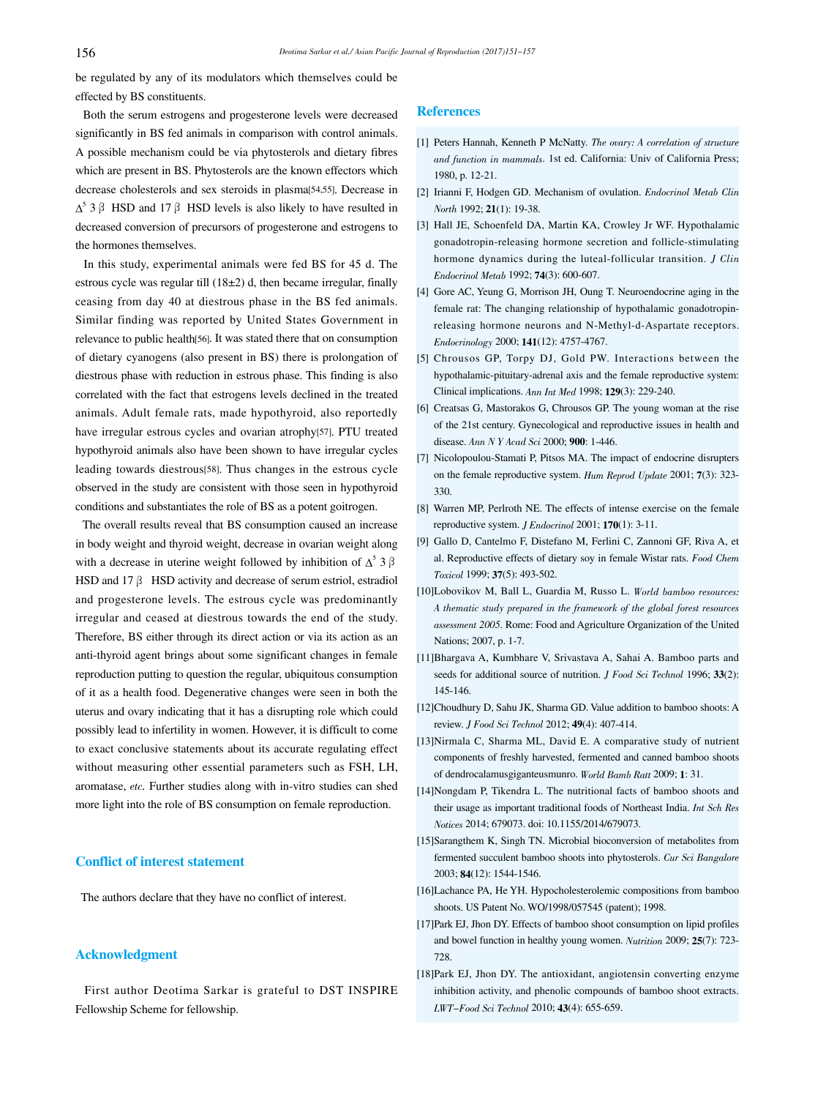be regulated by any of its modulators which themselves could be effected by BS constituents.

 Both the serum estrogens and progesterone levels were decreased significantly in BS fed animals in comparison with control animals. A possible mechanism could be via phytosterols and dietary fibres which are present in BS. Phytosterols are the known effectors which decrease cholesterols and sex steroids in plasma[54,55]. Decrease in  $\Delta^5$  3  $\beta$  HSD and 17  $\beta$  HSD levels is also likely to have resulted in decreased conversion of precursors of progesterone and estrogens to the hormones themselves.

 In this study, experimental animals were fed BS for 45 d. The estrous cycle was regular till (18±2) d, then became irregular, finally ceasing from day 40 at diestrous phase in the BS fed animals. Similar finding was reported by United States Government in relevance to public health[56]. It was stated there that on consumption of dietary cyanogens (also present in BS) there is prolongation of diestrous phase with reduction in estrous phase. This finding is also correlated with the fact that estrogens levels declined in the treated animals. Adult female rats, made hypothyroid, also reportedly have irregular estrous cycles and ovarian atrophy[57]. PTU treated hypothyroid animals also have been shown to have irregular cycles leading towards diestrous[58]. Thus changes in the estrous cycle observed in the study are consistent with those seen in hypothyroid conditions and substantiates the role of BS as a potent goitrogen.

 The overall results reveal that BS consumption caused an increase in body weight and thyroid weight, decrease in ovarian weight along with a decrease in uterine weight followed by inhibition of  $\Delta^5$  3  $\beta$ HSD and 17 $\beta$  HSD activity and decrease of serum estriol, estradiol and progesterone levels. The estrous cycle was predominantly irregular and ceased at diestrous towards the end of the study. Therefore, BS either through its direct action or via its action as an anti-thyroid agent brings about some significant changes in female reproduction putting to question the regular, ubiquitous consumption of it as a health food. Degenerative changes were seen in both the uterus and ovary indicating that it has a disrupting role which could possibly lead to infertility in women. However, it is difficult to come to exact conclusive statements about its accurate regulating effect without measuring other essential parameters such as FSH, LH, aromatase, etc. Further studies along with in-vitro studies can shed more light into the role of BS consumption on female reproduction.

#### Conflict of interest statement

The authors declare that they have no conflict of interest.

#### Acknowledgment

 First author Deotima Sarkar is grateful to DST INSPIRE Fellowship Scheme for fellowship.

## **References**

- [1] Peters Hannah, Kenneth P McNatty. The ovary: A correlation of structure and function in mammals. 1st ed. California: Univ of California Press; 1980, p. 12-21.
- [2] Irianni F, Hodgen GD. Mechanism of ovulation. Endocrinol Metab Clin North 1992; 21(1): 19-38.
- [3] Hall JE, Schoenfeld DA, Martin KA, Crowley Jr WF. Hypothalamic gonadotropin-releasing hormone secretion and follicle-stimulating hormone dynamics during the luteal-follicular transition. J Clin Endocrinol Metab 1992; 74(3): 600-607.
- [4] Gore AC, Yeung G, Morrison JH, Oung T. Neuroendocrine aging in the female rat: The changing relationship of hypothalamic gonadotropinreleasing hormone neurons and N-Methyl-d-Aspartate receptors. Endocrinology 2000; 141(12): 4757-4767.
- [5] Chrousos GP, Torpy DJ, Gold PW. Interactions between the hypothalamic-pituitary-adrenal axis and the female reproductive system: Clinical implications. Ann Int Med 1998; 129(3): 229-240.
- [6] Creatsas G, Mastorakos G, Chrousos GP. The young woman at the rise of the 21st century. Gynecological and reproductive issues in health and disease. Ann N Y Acad Sci 2000; 900: 1-446.
- [7] Nicolopoulou-Stamati P, Pitsos MA. The impact of endocrine disrupters on the female reproductive system. Hum Reprod Update 2001; 7(3): 323- 330.
- [8] Warren MP, Perlroth NE. The effects of intense exercise on the female reproductive system. *J Endocrinol* 2001; **170**(1): 3-11.
- [9] Gallo D, Cantelmo F, Distefano M, Ferlini C, Zannoni GF, Riva A, et al. Reproductive effects of dietary soy in female Wistar rats. Food Chem Toxicol 1999; 37(5): 493-502.
- [10]Lobovikov M, Ball L, Guardia M, Russo L. World bamboo resources: A thematic study prepared in the framework of the global forest resources assessment 2005. Rome: Food and Agriculture Organization of the United Nations; 2007, p. 1-7.
- [11]Bhargava A, Kumbhare V, Srivastava A, Sahai A. Bamboo parts and seeds for additional source of nutrition. *J Food Sci Technol* 1996; 33(2): 145-146.
- [12]Choudhury D, Sahu JK, Sharma GD. Value addition to bamboo shoots: A review. J Food Sci Technol 2012; 49(4): 407-414.
- [13]Nirmala C, Sharma ML, David E. A comparative study of nutrient components of freshly harvested, fermented and canned bamboo shoots of dendrocalamusgiganteusmunro. World Bamb Ratt 2009; 1: 31.
- [14]Nongdam P, Tikendra L. The nutritional facts of bamboo shoots and their usage as important traditional foods of Northeast India. Int Sch Res Notices 2014; 679073. doi: 10.1155/2014/679073.
- [15]Sarangthem K, Singh TN. Microbial bioconversion of metabolites from fermented succulent bamboo shoots into phytosterols. Cur Sci Bangalore 2003; 84(12): 1544-1546.
- [16]Lachance PA, He YH. Hypocholesterolemic compositions from bamboo shoots. US Patent No. WO/1998/057545 (patent); 1998.
- [17]Park EJ, Jhon DY. Effects of bamboo shoot consumption on lipid profiles and bowel function in healthy young women. Nutrition 2009; 25(7): 723- 728.
- [18]Park EJ, Jhon DY. The antioxidant, angiotensin converting enzyme inhibition activity, and phenolic compounds of bamboo shoot extracts. LWT-Food Sci Technol 2010; 43(4): 655-659.